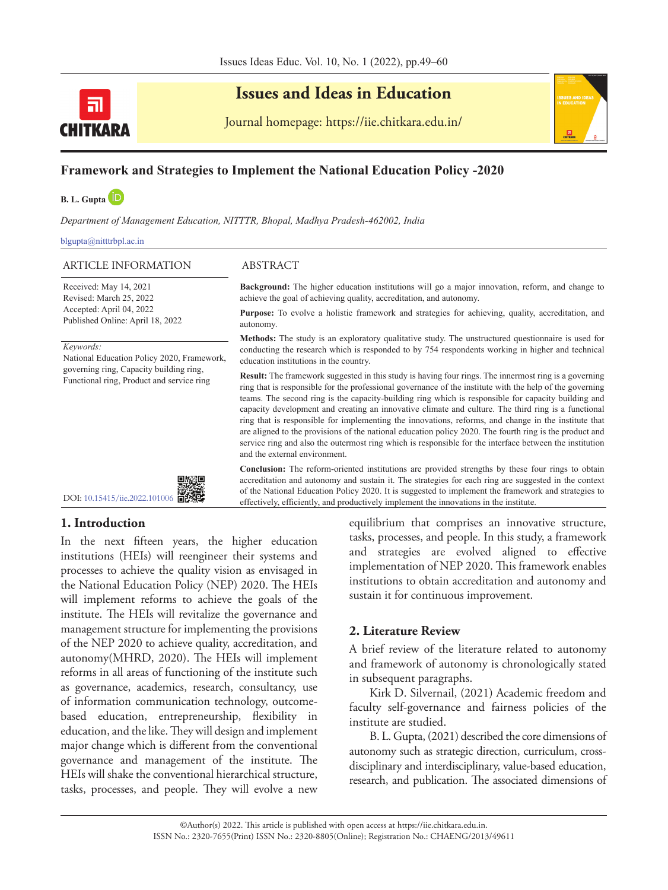

# **Issues and Ideas in Education**

Journal homepage: https://iie.chitkara.edu.in/

## **Framework and Strategies to Implement the National Education Policy -2020**

**B. L. Gupt[a](https://orcid.org/0000-0002-4057-3263)** 

*Department of Management Education, NITTTR, Bhopal, Madhya Pradesh-462002, India*

blgupta@nitttrbpl.ac.in

### ARTICLE INFORMATION ABSTRACT

Received: May 14, 2021 Revised: March 25, 2022 Accepted: April 04, 2022 Published Online: April 18, 2022

*Keywords:*

National Education Policy 2020, Framework, governing ring, Capacity building ring, Functional ring, Product and service ring



**Background:** The higher education institutions will go a major innovation, reform, and change to achieve the goal of achieving quality, accreditation, and autonomy.

**Purpose:** To evolve a holistic framework and strategies for achieving, quality, accreditation, and autonomy.

**Methods:** The study is an exploratory qualitative study. The unstructured questionnaire is used for conducting the research which is responded to by 754 respondents working in higher and technical education institutions in the country.

**Result:** The framework suggested in this study is having four rings. The innermost ring is a governing ring that is responsible for the professional governance of the institute with the help of the governing teams. The second ring is the capacity-building ring which is responsible for capacity building and capacity development and creating an innovative climate and culture. The third ring is a functional ring that is responsible for implementing the innovations, reforms, and change in the institute that are aligned to the provisions of the national education policy 2020. The fourth ring is the product and service ring and also the outermost ring which is responsible for the interface between the institution and the external environment.

**Conclusion:** The reform-oriented institutions are provided strengths by these four rings to obtain accreditation and autonomy and sustain it. The strategies for each ring are suggested in the context of the National Education Policy 2020. It is suggested to implement the framework and strategies to effectively, efficiently, and productively implement the innovations in the institute.

### **1. Introduction**

In the next fifteen years, the higher education institutions (HEIs) will reengineer their systems and processes to achieve the quality vision as envisaged in the National Education Policy (NEP) 2020. The HEIs will implement reforms to achieve the goals of the institute. The HEIs will revitalize the governance and management structure for implementing the provisions of the NEP 2020 to achieve quality, accreditation, and autonomy(MHRD, 2020). The HEIs will implement reforms in all areas of functioning of the institute such as governance, academics, research, consultancy, use of information communication technology, outcomebased education, entrepreneurship, flexibility in education, and the like. They will design and implement major change which is different from the conventional governance and management of the institute. The HEIs will shake the conventional hierarchical structure, tasks, processes, and people. They will evolve a new

equilibrium that comprises an innovative structure, tasks, processes, and people. In this study, a framework and strategies are evolved aligned to effective implementation of NEP 2020. This framework enables institutions to obtain accreditation and autonomy and sustain it for continuous improvement.

### **2. Literature Review**

A brief review of the literature related to autonomy and framework of autonomy is chronologically stated in subsequent paragraphs.

Kirk D. Silvernail, (2021) Academic freedom and faculty self-governance and fairness policies of the institute are studied.

B. L. Gupta, (2021) described the core dimensions of autonomy such as strategic direction, curriculum, crossdisciplinary and interdisciplinary, value-based education, research, and publication. The associated dimensions of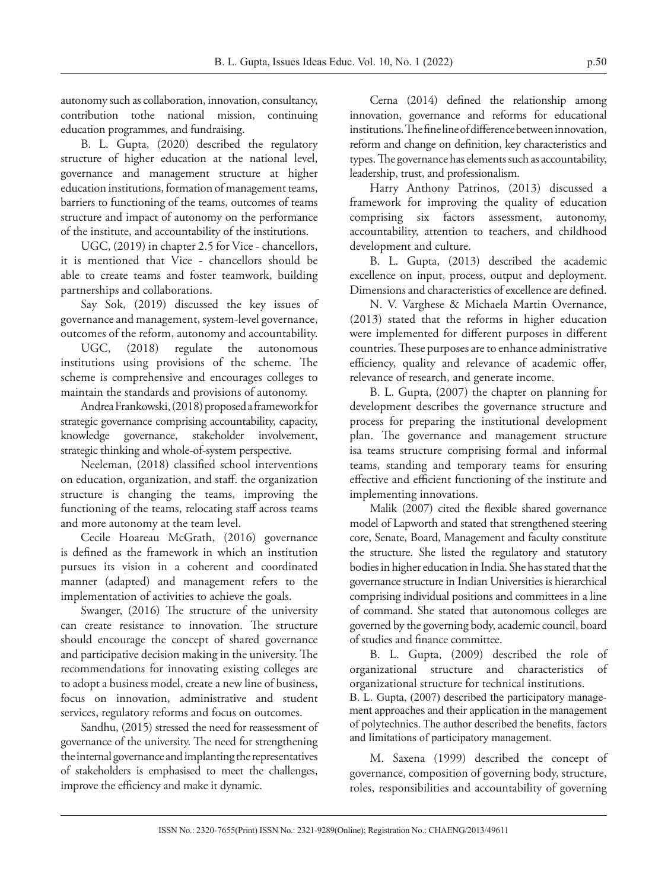B. L. Gupta, Issues Ideas Educ. Vol. 10, No. 1 (2022) p.50

autonomy such as collaboration, innovation, consultancy, contribution tothe national mission, continuing education programmes, and fundraising.

B. L. Gupta, (2020) described the regulatory structure of higher education at the national level, governance and management structure at higher education institutions, formation of management teams, barriers to functioning of the teams, outcomes of teams structure and impact of autonomy on the performance of the institute, and accountability of the institutions.

UGC, (2019) in chapter 2.5 for Vice - chancellors, it is mentioned that Vice - chancellors should be able to create teams and foster teamwork, building partnerships and collaborations.

Say Sok, (2019) discussed the key issues of governance and management, system-level governance, outcomes of the reform, autonomy and accountability.

UGC, (2018) regulate the autonomous institutions using provisions of the scheme. The scheme is comprehensive and encourages colleges to maintain the standards and provisions of autonomy.

Andrea Frankowski, (2018) proposed a framework for strategic governance comprising accountability, capacity, knowledge governance, stakeholder involvement, strategic thinking and whole-of-system perspective.

Neeleman, (2018) classified school interventions on education, organization, and staff. the organization structure is changing the teams, improving the functioning of the teams, relocating staff across teams and more autonomy at the team level.

Cecile Hoareau McGrath, (2016) governance is defined as the framework in which an institution pursues its vision in a coherent and coordinated manner (adapted) and management refers to the implementation of activities to achieve the goals.

Swanger, (2016) The structure of the university can create resistance to innovation. The structure should encourage the concept of shared governance and participative decision making in the university. The recommendations for innovating existing colleges are to adopt a business model, create a new line of business, focus on innovation, administrative and student services, regulatory reforms and focus on outcomes.

Sandhu, (2015) stressed the need for reassessment of governance of the university. The need for strengthening the internal governance and implanting the representatives of stakeholders is emphasised to meet the challenges, improve the efficiency and make it dynamic.

Cerna (2014) defined the relationship among innovation, governance and reforms for educational institutions. The fine line of difference between innovation, reform and change on definition, key characteristics and types. The governance has elements such as accountability, leadership, trust, and professionalism.

Harry Anthony Patrinos, (2013) discussed a framework for improving the quality of education comprising six factors assessment, autonomy, accountability, attention to teachers, and childhood development and culture.

B. L. Gupta, (2013) described the academic excellence on input, process, output and deployment. Dimensions and characteristics of excellence are defined.

N. V. Varghese & Michaela Martin Overnance, (2013) stated that the reforms in higher education were implemented for different purposes in different countries. These purposes are to enhance administrative efficiency, quality and relevance of academic offer, relevance of research, and generate income.

B. L. Gupta, (2007) the chapter on planning for development describes the governance structure and process for preparing the institutional development plan. The governance and management structure isa teams structure comprising formal and informal teams, standing and temporary teams for ensuring effective and efficient functioning of the institute and implementing innovations.

Malik (2007) cited the flexible shared governance model of Lapworth and stated that strengthened steering core, Senate, Board, Management and faculty constitute the structure. She listed the regulatory and statutory bodies in higher education in India. She has stated that the governance structure in Indian Universities is hierarchical comprising individual positions and committees in a line of command. She stated that autonomous colleges are governed by the governing body, academic council, board of studies and finance committee.

B. L. Gupta, (2009) described the role of organizational structure and characteristics of organizational structure for technical institutions.

B. L. Gupta, (2007) described the participatory management approaches and their application in the management of polytechnics. The author described the benefits, factors and limitations of participatory management.

M. Saxena (1999) described the concept of governance, composition of governing body, structure, roles, responsibilities and accountability of governing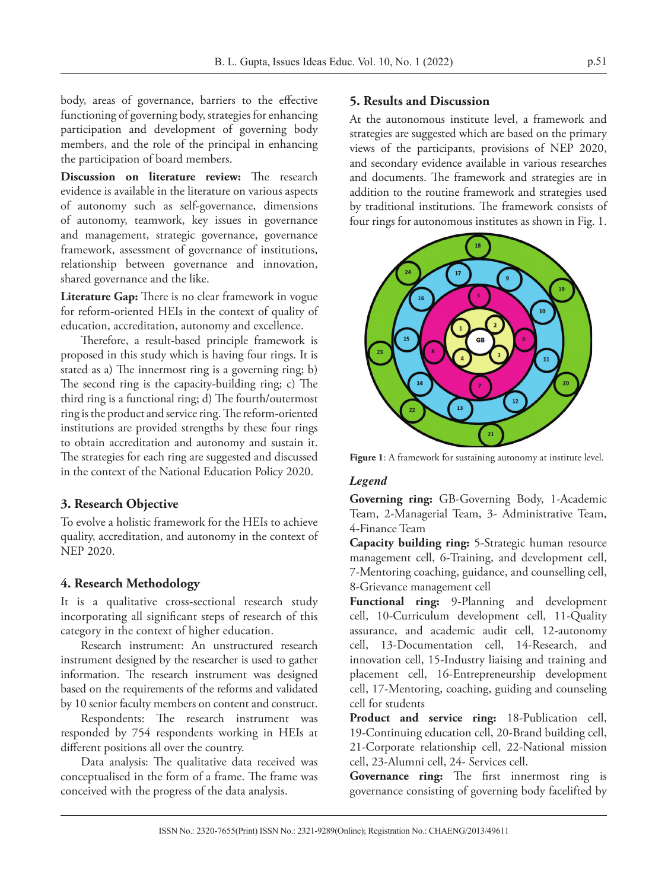body, areas of governance, barriers to the effective functioning of governing body, strategies for enhancing participation and development of governing body members, and the role of the principal in enhancing the participation of board members.

**Discussion on literature review:** The research evidence is available in the literature on various aspects of autonomy such as self-governance, dimensions of autonomy, teamwork, key issues in governance and management, strategic governance, governance framework, assessment of governance of institutions, relationship between governance and innovation, shared governance and the like.

**Literature Gap:** There is no clear framework in vogue for reform-oriented HEIs in the context of quality of education, accreditation, autonomy and excellence.

Therefore, a result-based principle framework is proposed in this study which is having four rings. It is stated as a) The innermost ring is a governing ring; b) The second ring is the capacity-building ring; c) The third ring is a functional ring; d) The fourth/outermost ring is the product and service ring. The reform-oriented institutions are provided strengths by these four rings to obtain accreditation and autonomy and sustain it. The strategies for each ring are suggested and discussed in the context of the National Education Policy 2020.

### **3. Research Objective**

To evolve a holistic framework for the HEIs to achieve quality, accreditation, and autonomy in the context of NEP 2020.

### **4. Research Methodology**

It is a qualitative cross-sectional research study incorporating all significant steps of research of this category in the context of higher education.

Research instrument: An unstructured research instrument designed by the researcher is used to gather information. The research instrument was designed based on the requirements of the reforms and validated by 10 senior faculty members on content and construct.

Respondents: The research instrument was responded by 754 respondents working in HEIs at different positions all over the country.

Data analysis: The qualitative data received was conceptualised in the form of a frame. The frame was conceived with the progress of the data analysis.

### **5. Results and Discussion**

At the autonomous institute level, a framework and strategies are suggested which are based on the primary views of the participants, provisions of NEP 2020, and secondary evidence available in various researches and documents. The framework and strategies are in addition to the routine framework and strategies used by traditional institutions. The framework consists of four rings for autonomous institutes as shown in Fig. 1.



**Figure 1**: A framework for sustaining autonomy at institute level.

### *Legend*

**Governing ring:** GB-Governing Body, 1-Academic Team, 2-Managerial Team, 3- Administrative Team, 4-Finance Team

**Capacity building ring:** 5-Strategic human resource management cell, 6-Training, and development cell, 7-Mentoring coaching, guidance, and counselling cell, 8-Grievance management cell

**Functional ring:** 9-Planning and development cell, 10-Curriculum development cell, 11-Quality assurance, and academic audit cell, 12-autonomy cell, 13-Documentation cell, 14-Research, and innovation cell, 15-Industry liaising and training and placement cell, 16-Entrepreneurship development cell, 17-Mentoring, coaching, guiding and counseling cell for students

**Product and service ring:** 18-Publication cell, 19-Continuing education cell, 20-Brand building cell, 21-Corporate relationship cell, 22-National mission cell, 23-Alumni cell, 24- Services cell.

Governance ring: The first innermost ring is governance consisting of governing body facelifted by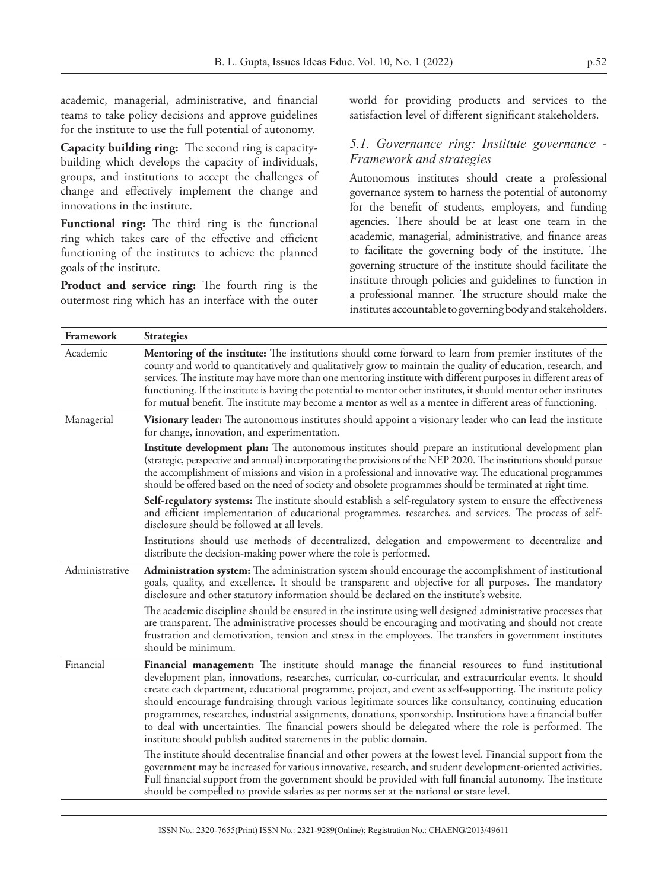academic, managerial, administrative, and financial teams to take policy decisions and approve guidelines for the institute to use the full potential of autonomy.

**Capacity building ring:** The second ring is capacitybuilding which develops the capacity of individuals, groups, and institutions to accept the challenges of change and effectively implement the change and innovations in the institute.

**Functional ring:** The third ring is the functional ring which takes care of the effective and efficient functioning of the institutes to achieve the planned goals of the institute.

**Product and service ring:** The fourth ring is the outermost ring which has an interface with the outer world for providing products and services to the satisfaction level of different significant stakeholders.

### *5.1. Governance ring: Institute governance - Framework and strategies*

Autonomous institutes should create a professional governance system to harness the potential of autonomy for the benefit of students, employers, and funding agencies. There should be at least one team in the academic, managerial, administrative, and finance areas to facilitate the governing body of the institute. The governing structure of the institute should facilitate the institute through policies and guidelines to function in a professional manner. The structure should make the institutes accountable to governing body and stakeholders.

| Framework      | <b>Strategies</b>                                                                                                                                                                                                                                                                                                                                                                                                                                                                                                                                                                                                                                                                                                                    |
|----------------|--------------------------------------------------------------------------------------------------------------------------------------------------------------------------------------------------------------------------------------------------------------------------------------------------------------------------------------------------------------------------------------------------------------------------------------------------------------------------------------------------------------------------------------------------------------------------------------------------------------------------------------------------------------------------------------------------------------------------------------|
| Academic       | Mentoring of the institute: The institutions should come forward to learn from premier institutes of the<br>county and world to quantitatively and qualitatively grow to maintain the quality of education, research, and<br>services. The institute may have more than one mentoring institute with different purposes in different areas of<br>functioning. If the institute is having the potential to mentor other institutes, it should mentor other institutes<br>for mutual benefit. The institute may become a mentor as well as a mentee in different areas of functioning.                                                                                                                                                 |
| Managerial     | Visionary leader: The autonomous institutes should appoint a visionary leader who can lead the institute<br>for change, innovation, and experimentation.                                                                                                                                                                                                                                                                                                                                                                                                                                                                                                                                                                             |
|                | <b>Institute development plan:</b> The autonomous institutes should prepare an institutional development plan<br>(strategic, perspective and annual) incorporating the provisions of the NEP 2020. The institutions should pursue<br>the accomplishment of missions and vision in a professional and innovative way. The educational programmes<br>should be offered based on the need of society and obsolete programmes should be terminated at right time.                                                                                                                                                                                                                                                                        |
|                | Self-regulatory systems: The institute should establish a self-regulatory system to ensure the effectiveness<br>and efficient implementation of educational programmes, researches, and services. The process of self-<br>disclosure should be followed at all levels.                                                                                                                                                                                                                                                                                                                                                                                                                                                               |
|                | Institutions should use methods of decentralized, delegation and empowerment to decentralize and<br>distribute the decision-making power where the role is performed.                                                                                                                                                                                                                                                                                                                                                                                                                                                                                                                                                                |
| Administrative | Administration system: The administration system should encourage the accomplishment of institutional<br>goals, quality, and excellence. It should be transparent and objective for all purposes. The mandatory<br>disclosure and other statutory information should be declared on the institute's website.                                                                                                                                                                                                                                                                                                                                                                                                                         |
|                | The academic discipline should be ensured in the institute using well designed administrative processes that<br>are transparent. The administrative processes should be encouraging and motivating and should not create<br>frustration and demotivation, tension and stress in the employees. The transfers in government institutes<br>should be minimum.                                                                                                                                                                                                                                                                                                                                                                          |
| Financial      | Financial management: The institute should manage the financial resources to fund institutional<br>development plan, innovations, researches, curricular, co-curricular, and extracurricular events. It should<br>create each department, educational programme, project, and event as self-supporting. The institute policy<br>should encourage fundraising through various legitimate sources like consultancy, continuing education<br>programmes, researches, industrial assignments, donations, sponsorship. Institutions have a financial buffer<br>to deal with uncertainties. The financial powers should be delegated where the role is performed. The<br>institute should publish audited statements in the public domain. |
|                | The institute should decentralise financial and other powers at the lowest level. Financial support from the<br>government may be increased for various innovative, research, and student development-oriented activities.<br>Full financial support from the government should be provided with full financial autonomy. The institute<br>should be compelled to provide salaries as per norms set at the national or state level.                                                                                                                                                                                                                                                                                                  |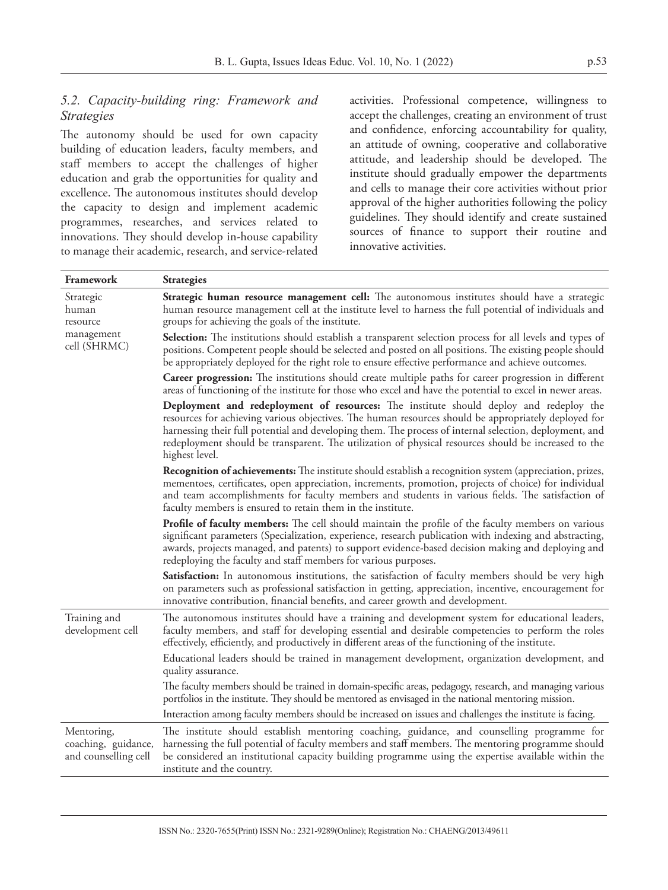### *5.2. Capacity-building ring: Framework and Strategies*

The autonomy should be used for own capacity building of education leaders, faculty members, and staff members to accept the challenges of higher education and grab the opportunities for quality and excellence. The autonomous institutes should develop the capacity to design and implement academic programmes, researches, and services related to innovations. They should develop in-house capability to manage their academic, research, and service-related

activities. Professional competence, willingness to accept the challenges, creating an environment of trust and confidence, enforcing accountability for quality, an attitude of owning, cooperative and collaborative attitude, and leadership should be developed. The institute should gradually empower the departments and cells to manage their core activities without prior approval of the higher authorities following the policy guidelines. They should identify and create sustained sources of finance to support their routine and innovative activities.

| Framework                                                 | <b>Strategies</b>                                                                                                                                                                                                                                                                                                                                                                                                                   |
|-----------------------------------------------------------|-------------------------------------------------------------------------------------------------------------------------------------------------------------------------------------------------------------------------------------------------------------------------------------------------------------------------------------------------------------------------------------------------------------------------------------|
| Strategic<br>human<br>resource                            | Strategic human resource management cell: The autonomous institutes should have a strategic<br>human resource management cell at the institute level to harness the full potential of individuals and<br>groups for achieving the goals of the institute.                                                                                                                                                                           |
| management<br>cell (SHRMC)                                | <b>Selection:</b> The institutions should establish a transparent selection process for all levels and types of<br>positions. Competent people should be selected and posted on all positions. The existing people should<br>be appropriately deployed for the right role to ensure effective performance and achieve outcomes.                                                                                                     |
|                                                           | Career progression: The institutions should create multiple paths for career progression in different<br>areas of functioning of the institute for those who excel and have the potential to excel in newer areas.                                                                                                                                                                                                                  |
|                                                           | Deployment and redeployment of resources: The institute should deploy and redeploy the<br>resources for achieving various objectives. The human resources should be appropriately deployed for<br>harnessing their full potential and developing them. The process of internal selection, deployment, and<br>redeployment should be transparent. The utilization of physical resources should be increased to the<br>highest level. |
|                                                           | <b>Recognition of achievements:</b> The institute should establish a recognition system (appreciation, prizes,<br>mementoes, certificates, open appreciation, increments, promotion, projects of choice) for individual<br>and team accomplishments for faculty members and students in various fields. The satisfaction of<br>faculty members is ensured to retain them in the institute.                                          |
|                                                           | Profile of faculty members: The cell should maintain the profile of the faculty members on various<br>significant parameters (Specialization, experience, research publication with indexing and abstracting,<br>awards, projects managed, and patents) to support evidence-based decision making and deploying and<br>redeploying the faculty and staff members for various purposes.                                              |
|                                                           | Satisfaction: In autonomous institutions, the satisfaction of faculty members should be very high<br>on parameters such as professional satisfaction in getting, appreciation, incentive, encouragement for<br>innovative contribution, financial benefits, and career growth and development.                                                                                                                                      |
| Training and<br>development cell                          | The autonomous institutes should have a training and development system for educational leaders,<br>faculty members, and staff for developing essential and desirable competencies to perform the roles<br>effectively, efficiently, and productively in different areas of the functioning of the institute.                                                                                                                       |
|                                                           | Educational leaders should be trained in management development, organization development, and<br>quality assurance.                                                                                                                                                                                                                                                                                                                |
|                                                           | The faculty members should be trained in domain-specific areas, pedagogy, research, and managing various<br>portfolios in the institute. They should be mentored as envisaged in the national mentoring mission.                                                                                                                                                                                                                    |
|                                                           | Interaction among faculty members should be increased on issues and challenges the institute is facing.                                                                                                                                                                                                                                                                                                                             |
| Mentoring,<br>coaching, guidance,<br>and counselling cell | The institute should establish mentoring coaching, guidance, and counselling programme for<br>harnessing the full potential of faculty members and staff members. The mentoring programme should<br>be considered an institutional capacity building programme using the expertise available within the<br>institute and the country.                                                                                               |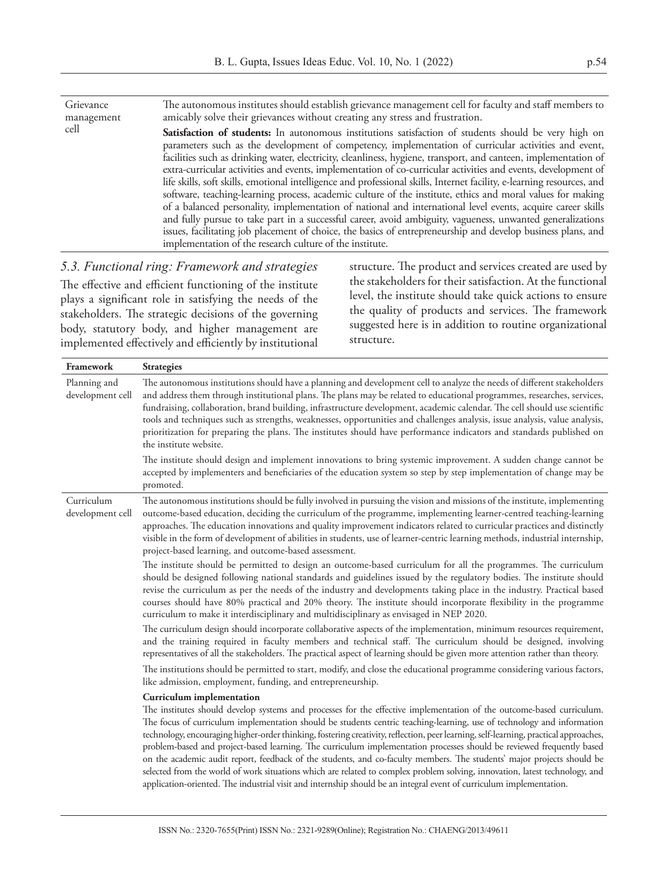| Grievance<br>management | The autonomous institutes should establish grievance management cell for faculty and staff members to<br>amicably solve their grievances without creating any stress and frustration.                                                                                                                                                                                                                                                                                                                                                                                                                                                                                                                                                                                                                                                                                                                                                                                                                                                                                                             |
|-------------------------|---------------------------------------------------------------------------------------------------------------------------------------------------------------------------------------------------------------------------------------------------------------------------------------------------------------------------------------------------------------------------------------------------------------------------------------------------------------------------------------------------------------------------------------------------------------------------------------------------------------------------------------------------------------------------------------------------------------------------------------------------------------------------------------------------------------------------------------------------------------------------------------------------------------------------------------------------------------------------------------------------------------------------------------------------------------------------------------------------|
| cell                    | Satisfaction of students: In autonomous institutions satisfaction of students should be very high on<br>parameters such as the development of competency, implementation of curricular activities and event,<br>facilities such as drinking water, electricity, cleanliness, hygiene, transport, and canteen, implementation of<br>extra-curricular activities and events, implementation of co-curricular activities and events, development of<br>life skills, soft skills, emotional intelligence and professional skills, Internet facility, e-learning resources, and<br>software, teaching-learning process, academic culture of the institute, ethics and moral values for making<br>of a balanced personality, implementation of national and international level events, acquire career skills<br>and fully pursue to take part in a successful career, avoid ambiguity, vagueness, unwanted generalizations<br>issues, facilitating job placement of choice, the basics of entrepreneurship and develop business plans, and<br>implementation of the research culture of the institute. |
|                         |                                                                                                                                                                                                                                                                                                                                                                                                                                                                                                                                                                                                                                                                                                                                                                                                                                                                                                                                                                                                                                                                                                   |

### *5.3. Functional ring: Framework and strategies*

The effective and efficient functioning of the institute plays a significant role in satisfying the needs of the stakeholders. The strategic decisions of the governing body, statutory body, and higher management are implemented effectively and efficiently by institutional

structure. The product and services created are used by the stakeholders for their satisfaction. At the functional level, the institute should take quick actions to ensure the quality of products and services. The framework suggested here is in addition to routine organizational structure.

| <b>Framework</b>                 | <b>Strategies</b>                                                                                                                                                                                                                                                                                                                                                                                                                                                                                                                                                                                                                                                                                                                                                                                      |
|----------------------------------|--------------------------------------------------------------------------------------------------------------------------------------------------------------------------------------------------------------------------------------------------------------------------------------------------------------------------------------------------------------------------------------------------------------------------------------------------------------------------------------------------------------------------------------------------------------------------------------------------------------------------------------------------------------------------------------------------------------------------------------------------------------------------------------------------------|
| Planning and<br>development cell | The autonomous institutions should have a planning and development cell to analyze the needs of different stakeholders<br>and address them through institutional plans. The plans may be related to educational programmes, researches, services,<br>fundraising, collaboration, brand building, infrastructure development, academic calendar. The cell should use scientific<br>tools and techniques such as strengths, weaknesses, opportunities and challenges analysis, issue analysis, value analysis,<br>prioritization for preparing the plans. The institutes should have performance indicators and standards published on<br>the institute website.                                                                                                                                         |
|                                  | The institute should design and implement innovations to bring systemic improvement. A sudden change cannot be<br>accepted by implementers and beneficiaries of the education system so step by step implementation of change may be<br>promoted.                                                                                                                                                                                                                                                                                                                                                                                                                                                                                                                                                      |
| Curriculum<br>development cell   | The autonomous institutions should be fully involved in pursuing the vision and missions of the institute, implementing<br>outcome-based education, deciding the curriculum of the programme, implementing learner-centred teaching-learning<br>approaches. The education innovations and quality improvement indicators related to curricular practices and distinctly<br>visible in the form of development of abilities in students, use of learner-centric learning methods, industrial internship,<br>project-based learning, and outcome-based assessment.                                                                                                                                                                                                                                       |
|                                  | The institute should be permitted to design an outcome-based curriculum for all the programmes. The curriculum<br>should be designed following national standards and guidelines issued by the regulatory bodies. The institute should<br>revise the curriculum as per the needs of the industry and developments taking place in the industry. Practical based<br>courses should have 80% practical and 20% theory. The institute should incorporate flexibility in the programme<br>curriculum to make it interdisciplinary and multidisciplinary as envisaged in NEP 2020.                                                                                                                                                                                                                          |
|                                  | The curriculum design should incorporate collaborative aspects of the implementation, minimum resources requirement,<br>and the training required in faculty members and technical staff. The curriculum should be designed, involving<br>representatives of all the stakeholders. The practical aspect of learning should be given more attention rather than theory.                                                                                                                                                                                                                                                                                                                                                                                                                                 |
|                                  | The institutions should be permitted to start, modify, and close the educational programme considering various factors,<br>like admission, employment, funding, and entrepreneurship.                                                                                                                                                                                                                                                                                                                                                                                                                                                                                                                                                                                                                  |
|                                  | Curriculum implementation<br>The institutes should develop systems and processes for the effective implementation of the outcome-based curriculum.<br>The focus of curriculum implementation should be students centric teaching-learning, use of technology and information<br>technology, encouraging higher-order thinking, fostering creativity, reflection, peer learning, self-learning, practical approaches,<br>problem-based and project-based learning. The curriculum implementation processes should be reviewed frequently based<br>on the academic audit report, feedback of the students, and co-faculty members. The students' major projects should be<br>selected from the world of work situations which are related to complex problem solving, innovation, latest technology, and |

application-oriented. The industrial visit and internship should be an integral event of curriculum implementation.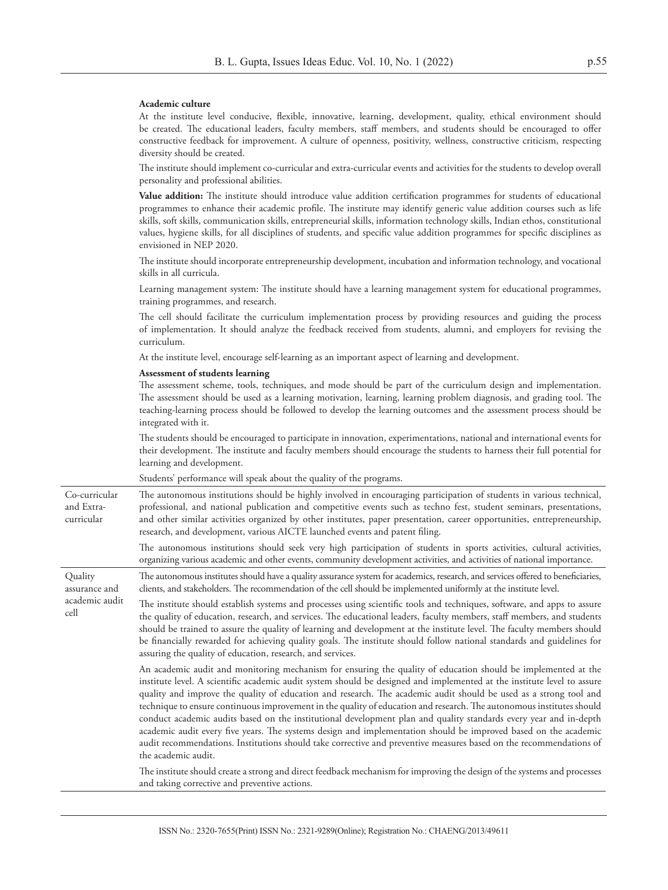#### **Academic culture**

At the institute level conducive, flexible, innovative, learning, development, quality, ethical environment should be created. The educational leaders, faculty members, staff members, and students should be encouraged to offer constructive feedback for improvement. A culture of openness, positivity, wellness, constructive criticism, respecting diversity should be created.

The institute should implement co-curricular and extra-curricular events and activities for the students to develop overall personality and professional abilities.

**Value addition:** The institute should introduce value addition certification programmes for students of educational programmes to enhance their academic profile. The institute may identify generic value addition courses such as life skills, soft skills, communication skills, entrepreneurial skills, information technology skills, Indian ethos, constitutional values, hygiene skills, for all disciplines of students, and specific value addition programmes for specific disciplines as envisioned in NEP 2020.

The institute should incorporate entrepreneurship development, incubation and information technology, and vocational skills in all curricula.

Learning management system: The institute should have a learning management system for educational programmes, training programmes, and research.

The cell should facilitate the curriculum implementation process by providing resources and guiding the process of implementation. It should analyze the feedback received from students, alumni, and employers for revising the curriculum.

At the institute level, encourage self-learning as an important aspect of learning and development.

#### **Assessment of students learning**

The assessment scheme, tools, techniques, and mode should be part of the curriculum design and implementation. The assessment should be used as a learning motivation, learning, learning problem diagnosis, and grading tool. The teaching-learning process should be followed to develop the learning outcomes and the assessment process should be integrated with it.

The students should be encouraged to participate in innovation, experimentations, national and international events for their development. The institute and faculty members should encourage the students to harness their full potential for learning and development.

Students' performance will speak about the quality of the programs. Co-curricular and Extracurricular The autonomous institutions should be highly involved in encouraging participation of students in various technical, professional, and national publication and competitive events such as techno fest, student seminars, presentations, and other similar activities organized by other institutes, paper presentation, career opportunities, entrepreneurship, research, and development, various AICTE launched events and patent filing. The autonomous institutions should seek very high participation of students in sports activities, cultural activities, organizing various academic and other events, community development activities, and activities of national importance. **Ouality** assurance and academic audit cell The autonomous institutes should have a quality assurance system for academics, research, and services offered to beneficiaries, clients, and stakeholders. The recommendation of the cell should be implemented uniformly at the institute level. The institute should establish systems and processes using scientific tools and techniques, software, and apps to assure the quality of education, research, and services. The educational leaders, faculty members, staff members, and students should be trained to assure the quality of learning and development at the institute level. The faculty members should be financially rewarded for achieving quality goals. The institute should follow national standards and guidelines for assuring the quality of education, research, and services. An academic audit and monitoring mechanism for ensuring the quality of education should be implemented at the institute level. A scientific academic audit system should be designed and implemented at the institute level to assure quality and improve the quality of education and research. The academic audit should be used as a strong tool and technique to ensure continuous improvement in the quality of education and research. The autonomous institutes should conduct academic audits based on the institutional development plan and quality standards every year and in-depth academic audit every five years. The systems design and implementation should be improved based on the academic

> audit recommendations. Institutions should take corrective and preventive measures based on the recommendations of the academic audit. The institute should create a strong and direct feedback mechanism for improving the design of the systems and processes and taking corrective and preventive actions.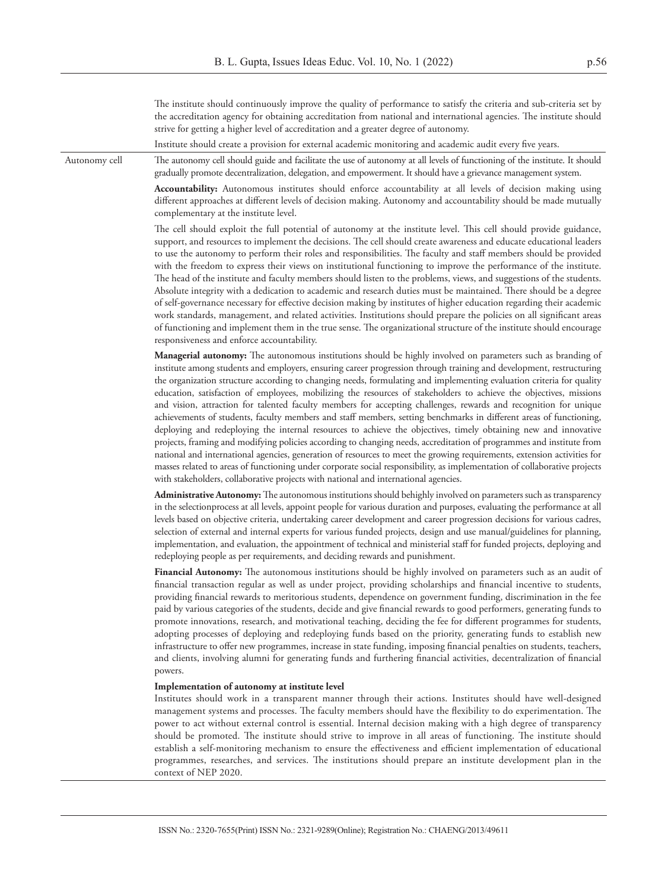The institute should continuously improve the quality of performance to satisfy the criteria and sub-criteria set by the accreditation agency for obtaining accreditation from national and international agencies. The institute should strive for getting a higher level of accreditation and a greater degree of autonomy.

Institute should create a provision for external academic monitoring and academic audit every five years.

Autonomy cell The autonomy cell should guide and facilitate the use of autonomy at all levels of functioning of the institute. It should gradually promote decentralization, delegation, and empowerment. It should have a grievance management system.

> **Accountability:** Autonomous institutes should enforce accountability at all levels of decision making using different approaches at different levels of decision making. Autonomy and accountability should be made mutually complementary at the institute level.

> The cell should exploit the full potential of autonomy at the institute level. This cell should provide guidance, support, and resources to implement the decisions. The cell should create awareness and educate educational leaders to use the autonomy to perform their roles and responsibilities. The faculty and staff members should be provided with the freedom to express their views on institutional functioning to improve the performance of the institute. The head of the institute and faculty members should listen to the problems, views, and suggestions of the students. Absolute integrity with a dedication to academic and research duties must be maintained. There should be a degree of self-governance necessary for effective decision making by institutes of higher education regarding their academic work standards, management, and related activities. Institutions should prepare the policies on all significant areas of functioning and implement them in the true sense. The organizational structure of the institute should encourage responsiveness and enforce accountability.

> **Managerial autonomy:** The autonomous institutions should be highly involved on parameters such as branding of institute among students and employers, ensuring career progression through training and development, restructuring the organization structure according to changing needs, formulating and implementing evaluation criteria for quality education, satisfaction of employees, mobilizing the resources of stakeholders to achieve the objectives, missions and vision, attraction for talented faculty members for accepting challenges, rewards and recognition for unique achievements of students, faculty members and staff members, setting benchmarks in different areas of functioning, deploying and redeploying the internal resources to achieve the objectives, timely obtaining new and innovative projects, framing and modifying policies according to changing needs, accreditation of programmes and institute from national and international agencies, generation of resources to meet the growing requirements, extension activities for masses related to areas of functioning under corporate social responsibility, as implementation of collaborative projects with stakeholders, collaborative projects with national and international agencies.

> **Administrative Autonomy:** The autonomous institutions should behighly involved on parameters such as transparency in the selectionprocess at all levels, appoint people for various duration and purposes, evaluating the performance at all levels based on objective criteria, undertaking career development and career progression decisions for various cadres, selection of external and internal experts for various funded projects, design and use manual/guidelines for planning, implementation, and evaluation, the appointment of technical and ministerial staff for funded projects, deploying and redeploying people as per requirements, and deciding rewards and punishment.

> **Financial Autonomy:** The autonomous institutions should be highly involved on parameters such as an audit of financial transaction regular as well as under project, providing scholarships and financial incentive to students, providing financial rewards to meritorious students, dependence on government funding, discrimination in the fee paid by various categories of the students, decide and give financial rewards to good performers, generating funds to promote innovations, research, and motivational teaching, deciding the fee for different programmes for students, adopting processes of deploying and redeploying funds based on the priority, generating funds to establish new infrastructure to offer new programmes, increase in state funding, imposing financial penalties on students, teachers, and clients, involving alumni for generating funds and furthering financial activities, decentralization of financial powers.

#### **Implementation of autonomy at institute level**

Institutes should work in a transparent manner through their actions. Institutes should have well-designed management systems and processes. The faculty members should have the flexibility to do experimentation. The power to act without external control is essential. Internal decision making with a high degree of transparency should be promoted. The institute should strive to improve in all areas of functioning. The institute should establish a self-monitoring mechanism to ensure the effectiveness and efficient implementation of educational programmes, researches, and services. The institutions should prepare an institute development plan in the context of NEP 2020.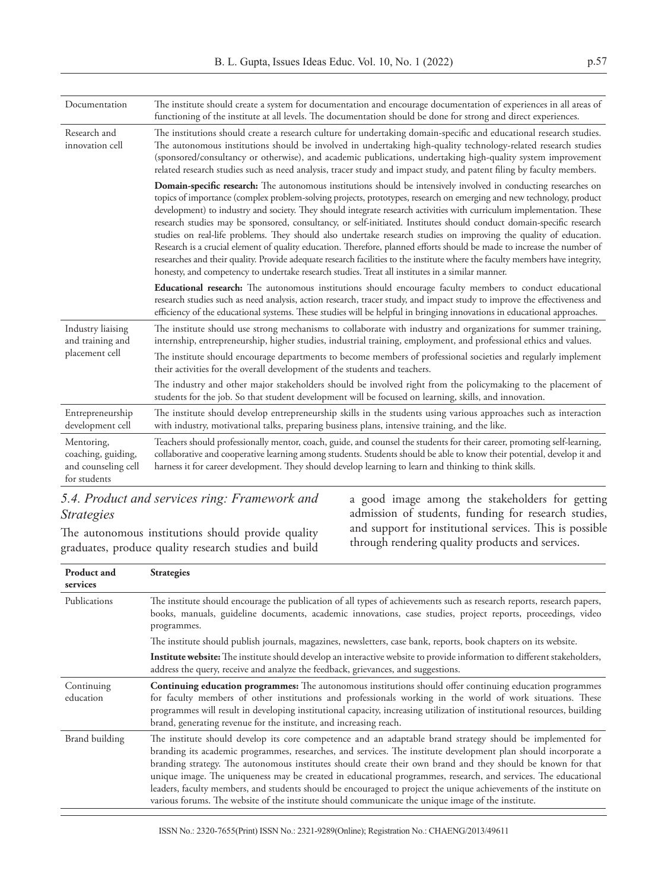| Documentation                                                           | The institute should create a system for documentation and encourage documentation of experiences in all areas of<br>functioning of the institute at all levels. The documentation should be done for strong and direct experiences.                                                                                                                                                                                                                                                                                                                                                                                                                                                                                                                                                                                                                                                                                                                                            |
|-------------------------------------------------------------------------|---------------------------------------------------------------------------------------------------------------------------------------------------------------------------------------------------------------------------------------------------------------------------------------------------------------------------------------------------------------------------------------------------------------------------------------------------------------------------------------------------------------------------------------------------------------------------------------------------------------------------------------------------------------------------------------------------------------------------------------------------------------------------------------------------------------------------------------------------------------------------------------------------------------------------------------------------------------------------------|
| Research and<br>innovation cell                                         | The institutions should create a research culture for undertaking domain-specific and educational research studies.<br>The autonomous institutions should be involved in undertaking high-quality technology-related research studies<br>(sponsored/consultancy or otherwise), and academic publications, undertaking high-quality system improvement<br>related research studies such as need analysis, tracer study and impact study, and patent filing by faculty members.                                                                                                                                                                                                                                                                                                                                                                                                                                                                                                   |
|                                                                         | Domain-specific research: The autonomous institutions should be intensively involved in conducting researches on<br>topics of importance (complex problem-solving projects, prototypes, research on emerging and new technology, product<br>development) to industry and society. They should integrate research activities with curriculum implementation. These<br>research studies may be sponsored, consultancy, or self-initiated. Institutes should conduct domain-specific research<br>studies on real-life problems. They should also undertake research studies on improving the quality of education.<br>Research is a crucial element of quality education. Therefore, planned efforts should be made to increase the number of<br>researches and their quality. Provide adequate research facilities to the institute where the faculty members have integrity,<br>honesty, and competency to undertake research studies. Treat all institutes in a similar manner. |
|                                                                         | Educational research: The autonomous institutions should encourage faculty members to conduct educational<br>research studies such as need analysis, action research, tracer study, and impact study to improve the effectiveness and<br>efficiency of the educational systems. These studies will be helpful in bringing innovations in educational approaches.                                                                                                                                                                                                                                                                                                                                                                                                                                                                                                                                                                                                                |
| Industry liaising<br>and training and                                   | The institute should use strong mechanisms to collaborate with industry and organizations for summer training,<br>internship, entrepreneurship, higher studies, industrial training, employment, and professional ethics and values.                                                                                                                                                                                                                                                                                                                                                                                                                                                                                                                                                                                                                                                                                                                                            |
| placement cell                                                          | The institute should encourage departments to become members of professional societies and regularly implement<br>their activities for the overall development of the students and teachers.                                                                                                                                                                                                                                                                                                                                                                                                                                                                                                                                                                                                                                                                                                                                                                                    |
|                                                                         | The industry and other major stakeholders should be involved right from the policymaking to the placement of<br>students for the job. So that student development will be focused on learning, skills, and innovation.                                                                                                                                                                                                                                                                                                                                                                                                                                                                                                                                                                                                                                                                                                                                                          |
| Entrepreneurship<br>development cell                                    | The institute should develop entrepreneurship skills in the students using various approaches such as interaction<br>with industry, motivational talks, preparing business plans, intensive training, and the like.                                                                                                                                                                                                                                                                                                                                                                                                                                                                                                                                                                                                                                                                                                                                                             |
| Mentoring,<br>coaching, guiding,<br>and counseling cell<br>for students | Teachers should professionally mentor, coach, guide, and counsel the students for their career, promoting self-learning,<br>collaborative and cooperative learning among students. Students should be able to know their potential, develop it and<br>harness it for career development. They should develop learning to learn and thinking to think skills.                                                                                                                                                                                                                                                                                                                                                                                                                                                                                                                                                                                                                    |

### *5.4. Product and services ring: Framework and Strategies*

The autonomous institutions should provide quality graduates, produce quality research studies and build a good image among the stakeholders for getting admission of students, funding for research studies, and support for institutional services. This is possible through rendering quality products and services.

| <b>Product and</b><br>services | <b>Strategies</b>                                                                                                                                                                                                                                                                                                                                                                                                                                                                                                                                                                                                                                                                           |
|--------------------------------|---------------------------------------------------------------------------------------------------------------------------------------------------------------------------------------------------------------------------------------------------------------------------------------------------------------------------------------------------------------------------------------------------------------------------------------------------------------------------------------------------------------------------------------------------------------------------------------------------------------------------------------------------------------------------------------------|
| Publications                   | The institute should encourage the publication of all types of achievements such as research reports, research papers,<br>books, manuals, guideline documents, academic innovations, case studies, project reports, proceedings, video<br>programmes.                                                                                                                                                                                                                                                                                                                                                                                                                                       |
|                                | The institute should publish journals, magazines, newsletters, case bank, reports, book chapters on its website.                                                                                                                                                                                                                                                                                                                                                                                                                                                                                                                                                                            |
|                                | Institute website: The institute should develop an interactive website to provide information to different stakeholders,<br>address the query, receive and analyze the feedback, grievances, and suggestions.                                                                                                                                                                                                                                                                                                                                                                                                                                                                               |
| Continuing<br>education        | Continuing education programmes: The autonomous institutions should offer continuing education programmes<br>for faculty members of other institutions and professionals working in the world of work situations. These<br>programmes will result in developing institutional capacity, increasing utilization of institutional resources, building<br>brand, generating revenue for the institute, and increasing reach.                                                                                                                                                                                                                                                                   |
| Brand building                 | The institute should develop its core competence and an adaptable brand strategy should be implemented for<br>branding its academic programmes, researches, and services. The institute development plan should incorporate a<br>branding strategy. The autonomous institutes should create their own brand and they should be known for that<br>unique image. The uniqueness may be created in educational programmes, research, and services. The educational<br>leaders, faculty members, and students should be encouraged to project the unique achievements of the institute on<br>various forums. The website of the institute should communicate the unique image of the institute. |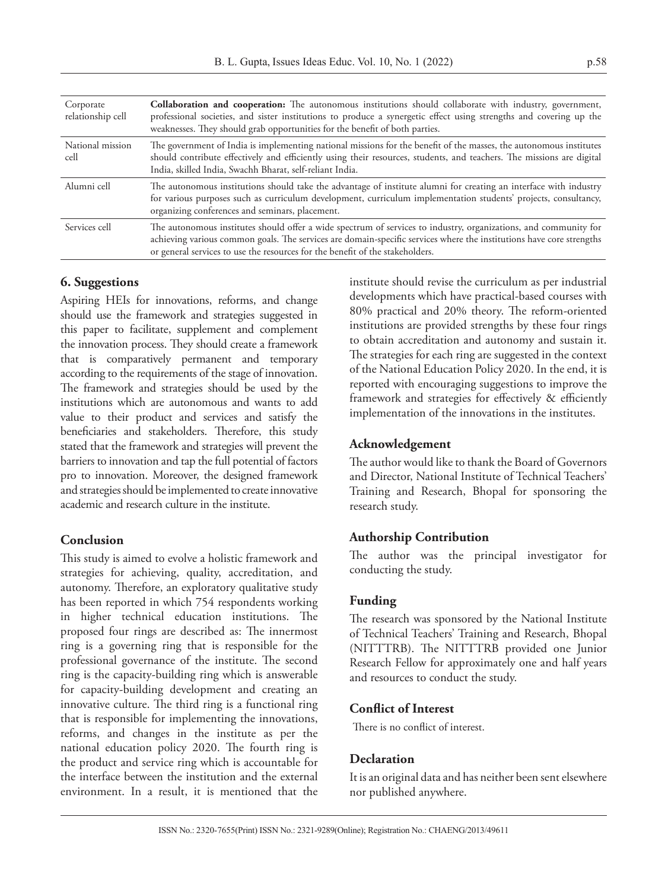| Corporate<br>relationship cell | <b>Collaboration and cooperation:</b> The autonomous institutions should collaborate with industry, government,<br>professional societies, and sister institutions to produce a synergetic effect using strengths and covering up the<br>weaknesses. They should grab opportunities for the benefit of both parties.      |
|--------------------------------|---------------------------------------------------------------------------------------------------------------------------------------------------------------------------------------------------------------------------------------------------------------------------------------------------------------------------|
| National mission<br>cell       | The government of India is implementing national missions for the benefit of the masses, the autonomous institutes<br>should contribute effectively and efficiently using their resources, students, and teachers. The missions are digital<br>India, skilled India, Swachh Bharat, self-reliant India.                   |
| Alumni cell                    | The autonomous institutions should take the advantage of institute alumni for creating an interface with industry<br>for various purposes such as curriculum development, curriculum implementation students' projects, consultancy,<br>organizing conferences and seminars, placement.                                   |
| Services cell                  | The autonomous institutes should offer a wide spectrum of services to industry, organizations, and community for<br>achieving various common goals. The services are domain-specific services where the institutions have core strengths<br>or general services to use the resources for the benefit of the stakeholders. |

### **6. Suggestions**

Aspiring HEIs for innovations, reforms, and change should use the framework and strategies suggested in this paper to facilitate, supplement and complement the innovation process. They should create a framework that is comparatively permanent and temporary according to the requirements of the stage of innovation. The framework and strategies should be used by the institutions which are autonomous and wants to add value to their product and services and satisfy the beneficiaries and stakeholders. Therefore, this study stated that the framework and strategies will prevent the barriers to innovation and tap the full potential of factors pro to innovation. Moreover, the designed framework and strategies should be implemented to create innovative academic and research culture in the institute.

### **Conclusion**

This study is aimed to evolve a holistic framework and strategies for achieving, quality, accreditation, and autonomy. Therefore, an exploratory qualitative study has been reported in which 754 respondents working in higher technical education institutions. The proposed four rings are described as: The innermost ring is a governing ring that is responsible for the professional governance of the institute. The second ring is the capacity-building ring which is answerable for capacity-building development and creating an innovative culture. The third ring is a functional ring that is responsible for implementing the innovations, reforms, and changes in the institute as per the national education policy 2020. The fourth ring is the product and service ring which is accountable for the interface between the institution and the external environment. In a result, it is mentioned that the

institute should revise the curriculum as per industrial developments which have practical-based courses with 80% practical and 20% theory. The reform-oriented institutions are provided strengths by these four rings to obtain accreditation and autonomy and sustain it. The strategies for each ring are suggested in the context of the National Education Policy 2020. In the end, it is reported with encouraging suggestions to improve the framework and strategies for effectively & efficiently implementation of the innovations in the institutes.

### **Acknowledgement**

The author would like to thank the Board of Governors and Director, National Institute of Technical Teachers' Training and Research, Bhopal for sponsoring the research study.

### **Authorship Contribution**

The author was the principal investigator for conducting the study.

### **Funding**

The research was sponsored by the National Institute of Technical Teachers' Training and Research, Bhopal (NITTTRB). The NITTTRB provided one Junior Research Fellow for approximately one and half years and resources to conduct the study.

### **Conflict of Interest**

There is no conflict of interest.

### **Declaration**

It is an original data and has neither been sent elsewhere nor published anywhere.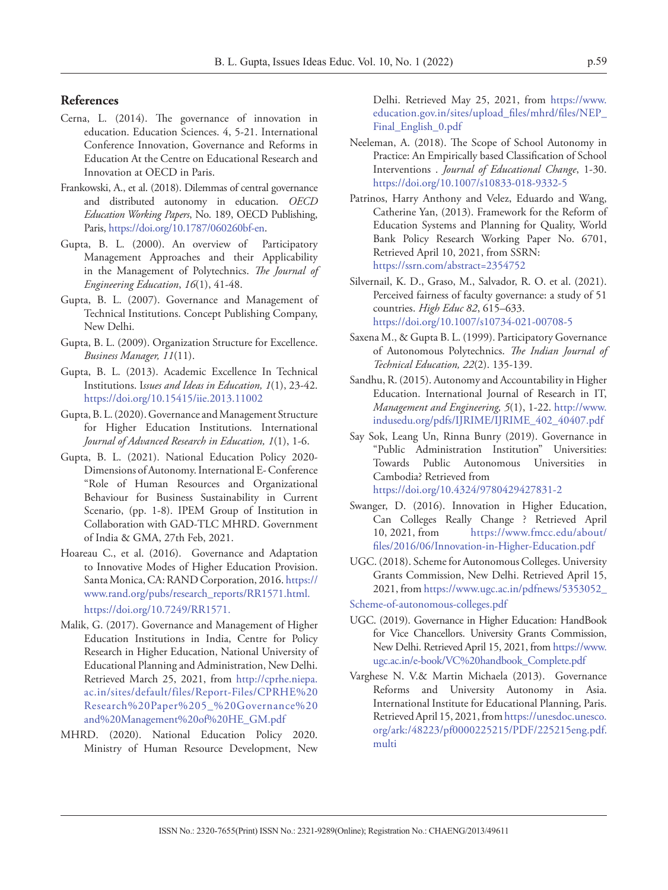### **References**

- Cerna, L. (2014). The governance of innovation in education. Education Sciences. 4, 5-21. International Conference Innovation, Governance and Reforms in Education At the Centre on Educational Research and Innovation at OECD in Paris.
- Frankowski, A., et al. (2018). Dilemmas of central governance and distributed autonomy in education. *OECD Education Working Papers*, No. 189, OECD Publishing, Paris, https://doi.org/10.1787/060260bf-en.
- Gupta, B. L. (2000). An overview of Participatory Management Approaches and their Applicability in the Management of Polytechnics. *The Journal of Engineering Education*, *16*(1), 41-48.
- Gupta, B. L. (2007). Governance and Management of Technical Institutions. Concept Publishing Company, New Delhi.
- Gupta, B. L. (2009). Organization Structure for Excellence. *Business Manager, 11*(11).
- Gupta, B. L. (2013). Academic Excellence In Technical Institutions. I*ssues and Ideas in Education, 1*(1), 23-42. https://doi.org/10.15415/iie.2013.11002
- Gupta, B. L. (2020). Governance and Management Structure for Higher Education Institutions. International *Journal of Advanced Research in Education, 1*(1), 1-6.
- Gupta, B. L. (2021). National Education Policy 2020- Dimensions of Autonomy. International E- Conference "Role of Human Resources and Organizational Behaviour for Business Sustainability in Current Scenario, (pp. 1-8). IPEM Group of Institution in Collaboration with GAD-TLC MHRD. Government of India & GMA, 27th Feb, 2021.
- Hoareau C., et al. (2016). Governance and Adaptation to Innovative Modes of Higher Education Provision. Santa Monica, CA: RAND Corporation, 2016. https:// www.rand.org/pubs/research\_reports/RR1571.html. https://doi.org/10.7249/RR1571.
- Malik, G. (2017). Governance and Management of Higher Education Institutions in India, Centre for Policy Research in Higher Education, National University of Educational Planning and Administration, New Delhi. Retrieved March 25, 2021, from [http://cprhe.niepa.](http://cprhe.niepa.ac.in/sites/default/files/Report-Files/CPRHE%2520Research%2520Paper%25205_%2520Governance%2520and%2520Management%2520of%2520HE_GM.pdf) [ac.in/sites/default/files/Report-Files/CPRHE%20](http://cprhe.niepa.ac.in/sites/default/files/Report-Files/CPRHE%2520Research%2520Paper%25205_%2520Governance%2520and%2520Management%2520of%2520HE_GM.pdf) [Research%20Paper%205\\_%20Governance%20](http://cprhe.niepa.ac.in/sites/default/files/Report-Files/CPRHE%2520Research%2520Paper%25205_%2520Governance%2520and%2520Management%2520of%2520HE_GM.pdf) [and%20Management%20of%20HE\\_GM.pdf](http://cprhe.niepa.ac.in/sites/default/files/Report-Files/CPRHE%2520Research%2520Paper%25205_%2520Governance%2520and%2520Management%2520of%2520HE_GM.pdf)
- MHRD. (2020). National Education Policy 2020. Ministry of Human Resource Development, New

Delhi. Retrieved May 25, 2021, from [https://www.](https://www.education.gov.in/sites/upload_files/mhrd/files/NEP_Final_English_0.pdf) [education.gov.in/sites/upload\\_files/mhrd/files/NEP\\_](https://www.education.gov.in/sites/upload_files/mhrd/files/NEP_Final_English_0.pdf) [Final\\_English\\_0.pdf](https://www.education.gov.in/sites/upload_files/mhrd/files/NEP_Final_English_0.pdf)

- Neeleman, A. (2018). The Scope of School Autonomy in Practice: An Empirically based Classification of School Interventions . *Journal of Educational Change*, 1-30. https://doi.org/10.1007/s10833-018-9332-5
- Patrinos, Harry Anthony and Velez, Eduardo and Wang, Catherine Yan, (2013). Framework for the Reform of Education Systems and Planning for Quality, World Bank Policy Research Working Paper No. 6701, Retrieved April 10, 2021, from SSRN: https://ssrn.com/abstract=2354752
- Silvernail, K. D., Graso, M., Salvador, R. O. et al. (2021). Perceived fairness of faculty governance: a study of 51 countries. *High Educ 82*, 615–633. https://doi.org/10.1007/s10734-021-00708-5
- Saxena M., & Gupta B. L. (1999). Participatory Governance of Autonomous Polytechnics. *The Indian Journal of Technical Education, 22*(2). 135-139.
- Sandhu, R. (2015). Autonomy and Accountability in Higher Education. International Journal of Research in IT, *Management and Engineering, 5*(1), 1-22. [http://www.](http://www.indusedu.org/pdfs/IJRIME/IJRIME_402_40407.pdf) [indusedu.org/pdfs/IJRIME/IJRIME\\_402\\_40407.pdf](http://www.indusedu.org/pdfs/IJRIME/IJRIME_402_40407.pdf)
- Say Sok, Leang Un, Rinna Bunry (2019). Governance in "Public Administration Institution" Universities: Towards Public Autonomous Universities in Cambodia? Retrieved from https://doi.org/10.4324/9780429427831-2
- Swanger, D. (2016). Innovation in Higher Education, Can Colleges Really Change ? Retrieved April 10, 2021, from [https://www.fmcc.edu/about/](https://www.fmcc.edu/about/files/2016/06/Innovation-in-Higher-Education.pdf) [files/2016/06/Innovation-in-Higher-Education.pdf](https://www.fmcc.edu/about/files/2016/06/Innovation-in-Higher-Education.pdf)
- UGC. (2018). Scheme for Autonomous Colleges. University Grants Commission, New Delhi. Retrieved April 15, 2021, from [https://www.ugc.ac.in/pdfnews/5353052\\_](https://www.ugc.ac.in/pdfnews/5353052_%0DScheme-of-autonomous-colleges.pdf)

[Scheme-of-autonomous-colleges.pdf](https://www.ugc.ac.in/pdfnews/5353052_%0DScheme-of-autonomous-colleges.pdf)

- UGC. (2019). Governance in Higher Education: HandBook for Vice Chancellors. University Grants Commission, New Delhi. Retrieved April 15, 2021, from [https://www.](https://www.ugc.ac.in/e-book/VC%2520handbook_Complete.pdf) [ugc.ac.in/e-book/VC%20handbook\\_Complete.pdf](https://www.ugc.ac.in/e-book/VC%2520handbook_Complete.pdf)
- Varghese N. V.& Martin Michaela (2013). Governance Reforms and University Autonomy in Asia. International Institute for Educational Planning, Paris. Retrieved April 15, 2021, from [https://unesdoc.unesco.](https://unesdoc.unesco.org/ark:/48223/pf0000225215/PDF/225215eng.pdf.multi) [org/ark:/48223/pf0000225215/PDF/225215eng.pdf.](https://unesdoc.unesco.org/ark:/48223/pf0000225215/PDF/225215eng.pdf.multi) [multi](https://unesdoc.unesco.org/ark:/48223/pf0000225215/PDF/225215eng.pdf.multi)